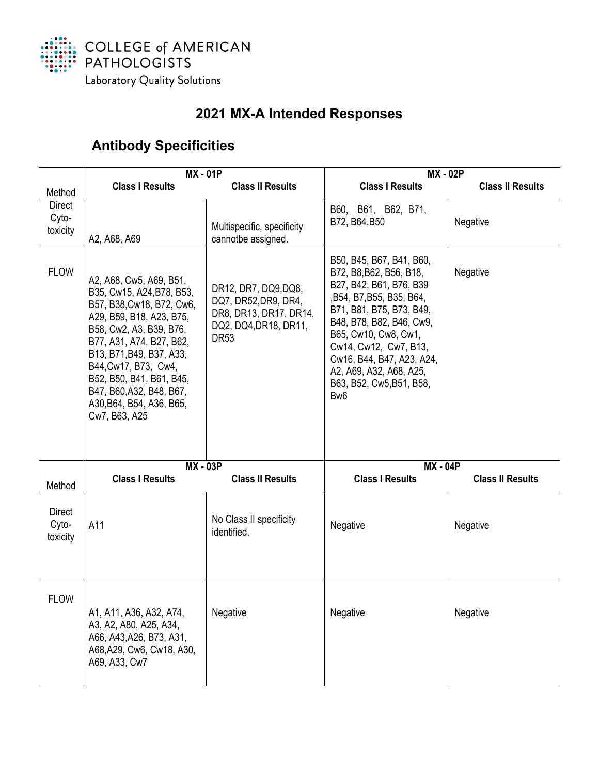

## **2021 MX-A Intended Responses**

## **Antibody Specificities**

|                             | <b>MX - 01P</b>                                                                                                                                                                                                                                                                                                               |                                                                                                                | <b>MX - 02P</b>                                                                                                                                                                                                                                                                                                             |                         |
|-----------------------------|-------------------------------------------------------------------------------------------------------------------------------------------------------------------------------------------------------------------------------------------------------------------------------------------------------------------------------|----------------------------------------------------------------------------------------------------------------|-----------------------------------------------------------------------------------------------------------------------------------------------------------------------------------------------------------------------------------------------------------------------------------------------------------------------------|-------------------------|
| Method                      | <b>Class I Results</b>                                                                                                                                                                                                                                                                                                        | <b>Class II Results</b>                                                                                        | <b>Class I Results</b>                                                                                                                                                                                                                                                                                                      | <b>Class II Results</b> |
| Direct<br>Cyto-<br>toxicity | A2, A68, A69                                                                                                                                                                                                                                                                                                                  | Multispecific, specificity<br>cannotbe assigned.                                                               | B60, B61, B62, B71,<br>B72, B64, B50                                                                                                                                                                                                                                                                                        | Negative                |
| <b>FLOW</b>                 | A2, A68, Cw5, A69, B51,<br>B35, Cw15, A24, B78, B53,<br>B57, B38, Cw18, B72, Cw6,<br>A29, B59, B18, A23, B75,<br>B58, Cw2, A3, B39, B76,<br>B77, A31, A74, B27, B62,<br>B13, B71, B49, B37, A33,<br>B44, Cw17, B73, Cw4,<br>B52, B50, B41, B61, B45,<br>B47, B60, A32, B48, B67,<br>A30, B64, B54, A36, B65,<br>Cw7, B63, A25 | DR12, DR7, DQ9, DQ8,<br>DQ7, DR52, DR9, DR4,<br>DR8, DR13, DR17, DR14,<br>DQ2, DQ4, DR18, DR11,<br><b>DR53</b> | B50, B45, B67, B41, B60,<br>B72, B8, B62, B56, B18,<br>B27, B42, B61, B76, B39<br>, B54, B7, B55, B35, B64,<br>B71, B81, B75, B73, B49,<br>B48, B78, B82, B46, Cw9,<br>B65, Cw10, Cw8, Cw1,<br>Cw14, Cw12, Cw7, B13,<br>Cw16, B44, B47, A23, A24,<br>A2, A69, A32, A68, A25,<br>B63, B52, Cw5, B51, B58,<br>Bw <sub>6</sub> | Negative                |
| Method                      | <b>MX - 03P</b><br><b>Class I Results</b>                                                                                                                                                                                                                                                                                     | <b>Class II Results</b>                                                                                        | <b>MX - 04P</b><br><b>Class I Results</b>                                                                                                                                                                                                                                                                                   | <b>Class II Results</b> |
| Direct<br>Cyto-<br>toxicity | A11                                                                                                                                                                                                                                                                                                                           | No Class II specificity<br>identified.                                                                         | Negative                                                                                                                                                                                                                                                                                                                    | Negative                |
| <b>FLOW</b>                 | A1, A11, A36, A32, A74,<br>A3, A2, A80, A25, A34,<br>A66, A43, A26, B73, A31,<br>A68, A29, Cw6, Cw18, A30,<br>A69, A33, Cw7                                                                                                                                                                                                   | Negative                                                                                                       | Negative                                                                                                                                                                                                                                                                                                                    | Negative                |